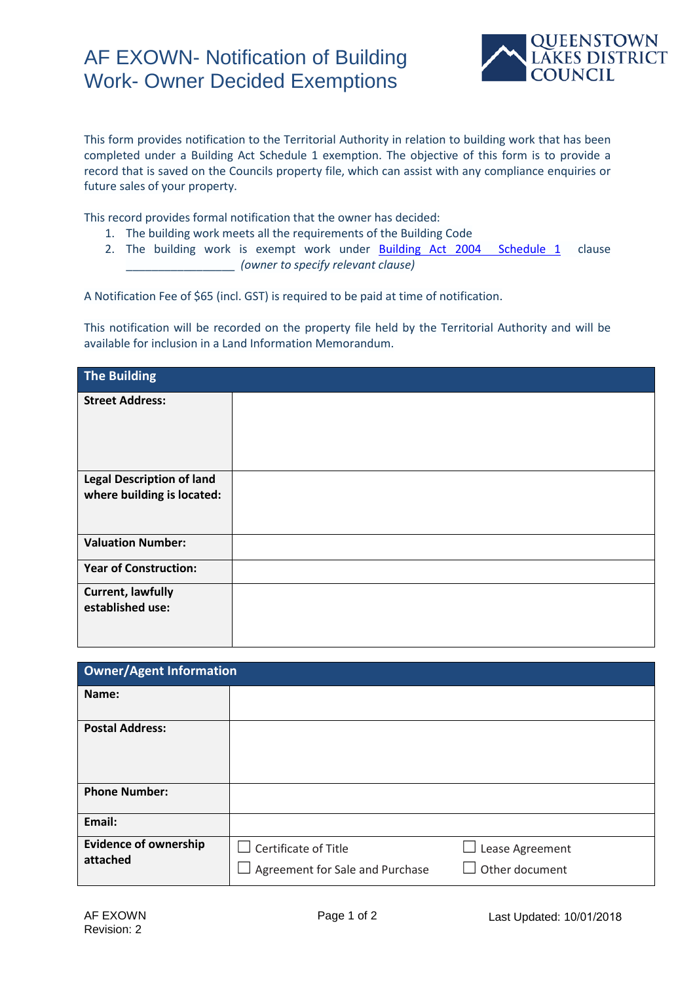## AF EXOWN- Notification of Building Work- Owner Decided Exemptions



This form provides notification to the Territorial Authority in relation to building work that has been completed under a Building Act Schedule 1 exemption. The objective of this form is to provide a record that is saved on the Councils property file, which can assist with any compliance enquiries or future sales of your property.

This record provides formal notification that the owner has decided:

- 1. The building work meets all the requirements of the Building Code
- 2. The building work is exempt work under **Building Act 2004** Schedule 1 clause \_\_\_\_\_\_\_\_\_\_\_\_\_\_\_\_\_ *(owner to specify relevant clause)*

A Notification Fee of \$65 (incl. GST) is required to be paid at time of notification.

This notification will be recorded on the property file held by the Territorial Authority and will be available for inclusion in a Land Information Memorandum.

| The Building                     |  |
|----------------------------------|--|
| <b>Street Address:</b>           |  |
|                                  |  |
|                                  |  |
| <b>Legal Description of land</b> |  |
| where building is located:       |  |
|                                  |  |
| <b>Valuation Number:</b>         |  |
| <b>Year of Construction:</b>     |  |
| <b>Current, lawfully</b>         |  |
| established use:                 |  |
|                                  |  |
|                                  |  |

| <b>Owner/Agent Information</b>           |                                                                       |                                   |  |  |
|------------------------------------------|-----------------------------------------------------------------------|-----------------------------------|--|--|
| Name:                                    |                                                                       |                                   |  |  |
| <b>Postal Address:</b>                   |                                                                       |                                   |  |  |
| <b>Phone Number:</b>                     |                                                                       |                                   |  |  |
| Email:                                   |                                                                       |                                   |  |  |
| <b>Evidence of ownership</b><br>attached | $\Box$ Certificate of Title<br>$\Box$ Agreement for Sale and Purchase | Lease Agreement<br>Other document |  |  |